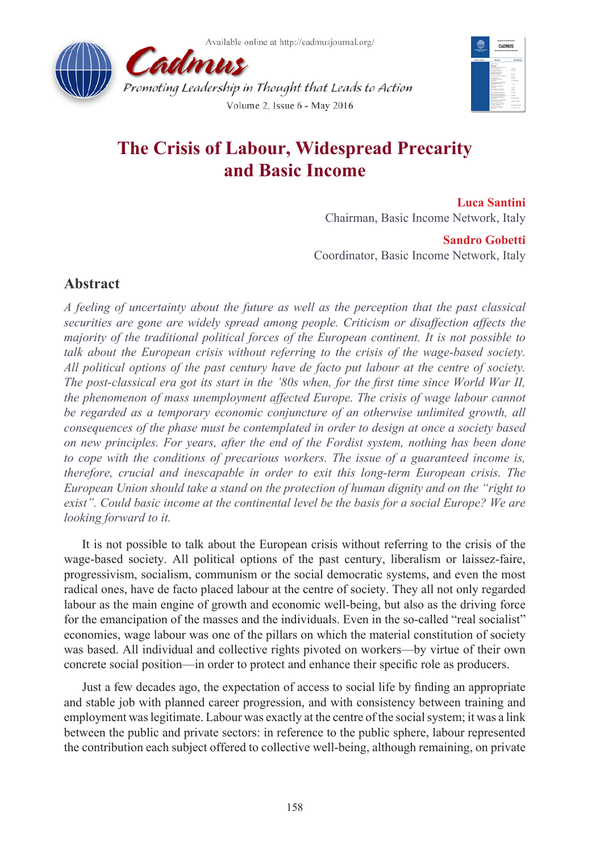Available online at http://cadmusjournal.org/





# **The Crisis of Labour, Widespread Precarity and Basic Income**

**Luca Santini** Chairman, Basic Income Network, Italy

### **Sandro Gobetti**

Coordinator, Basic Income Network, Italy

# **Abstract**

*A feeling of uncertainty about the future as well as the perception that the past classical securities are gone are widely spread among people. Criticism or disaffection affects the majority of the traditional political forces of the European continent. It is not possible to talk about the European crisis without referring to the crisis of the wage-based society. All political options of the past century have de facto put labour at the centre of society. The post-classical era got its start in the '80s when, for the first time since World War II, the phenomenon of mass unemployment affected Europe. The crisis of wage labour cannot*  be regarded as a temporary economic conjuncture of an otherwise unlimited growth, all *consequences of the phase must be contemplated in order to design at once a society based on new principles. For years, after the end of the Fordist system, nothing has been done to cope with the conditions of precarious workers. The issue of a guaranteed income is, therefore, crucial and inescapable in order to exit this long-term European crisis. The European Union should take a stand on the protection of human dignity and on the "right to exist". Could basic income at the continental level be the basis for a social Europe? We are looking forward to it.*

It is not possible to talk about the European crisis without referring to the crisis of the wage-based society. All political options of the past century, liberalism or laissez-faire, progressivism, socialism, communism or the social democratic systems, and even the most radical ones, have de facto placed labour at the centre of society. They all not only regarded labour as the main engine of growth and economic well-being, but also as the driving force for the emancipation of the masses and the individuals. Even in the so-called "real socialist" economies, wage labour was one of the pillars on which the material constitution of society was based. All individual and collective rights pivoted on workers—by virtue of their own concrete social position—in order to protect and enhance their specific role as producers.

Just a few decades ago, the expectation of access to social life by finding an appropriate and stable job with planned career progression, and with consistency between training and employment was legitimate. Labour was exactly at the centre of the social system; it was a link between the public and private sectors: in reference to the public sphere, labour represented the contribution each subject offered to collective well-being, although remaining, on private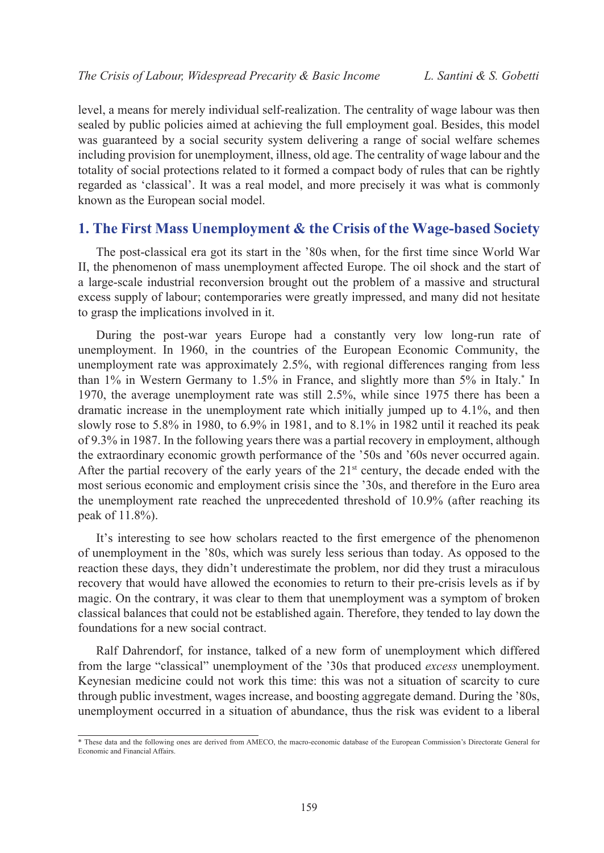level, a means for merely individual self-realization. The centrality of wage labour was then sealed by public policies aimed at achieving the full employment goal. Besides, this model was guaranteed by a social security system delivering a range of social welfare schemes including provision for unemployment, illness, old age. The centrality of wage labour and the totality of social protections related to it formed a compact body of rules that can be rightly regarded as 'classical'. It was a real model, and more precisely it was what is commonly known as the European social model.

### **1. The First Mass Unemployment & the Crisis of the Wage-based Society**

The post-classical era got its start in the '80s when, for the first time since World War II, the phenomenon of mass unemployment affected Europe. The oil shock and the start of a large-scale industrial reconversion brought out the problem of a massive and structural excess supply of labour; contemporaries were greatly impressed, and many did not hesitate to grasp the implications involved in it.

During the post-war years Europe had a constantly very low long-run rate of unemployment. In 1960, in the countries of the European Economic Community, the unemployment rate was approximately 2.5%, with regional differences ranging from less than 1% in Western Germany to 1.5% in France, and slightly more than 5% in Italy.\* In 1970, the average unemployment rate was still 2.5%, while since 1975 there has been a dramatic increase in the unemployment rate which initially jumped up to 4.1%, and then slowly rose to 5.8% in 1980, to 6.9% in 1981, and to 8.1% in 1982 until it reached its peak of 9.3% in 1987. In the following years there was a partial recovery in employment, although the extraordinary economic growth performance of the '50s and '60s never occurred again. After the partial recovery of the early years of the  $21<sup>st</sup>$  century, the decade ended with the most serious economic and employment crisis since the '30s, and therefore in the Euro area the unemployment rate reached the unprecedented threshold of 10.9% (after reaching its peak of 11.8%).

It's interesting to see how scholars reacted to the first emergence of the phenomenon of unemployment in the '80s, which was surely less serious than today. As opposed to the reaction these days, they didn't underestimate the problem, nor did they trust a miraculous recovery that would have allowed the economies to return to their pre-crisis levels as if by magic. On the contrary, it was clear to them that unemployment was a symptom of broken classical balances that could not be established again. Therefore, they tended to lay down the foundations for a new social contract.

Ralf Dahrendorf, for instance, talked of a new form of unemployment which differed from the large "classical" unemployment of the '30s that produced *excess* unemployment. Keynesian medicine could not work this time: this was not a situation of scarcity to cure through public investment, wages increase, and boosting aggregate demand. During the '80s, unemployment occurred in a situation of abundance, thus the risk was evident to a liberal

<sup>\*</sup> These data and the following ones are derived from AMECO, the macro-economic database of the European Commission's Directorate General for Economic and Financial Affairs.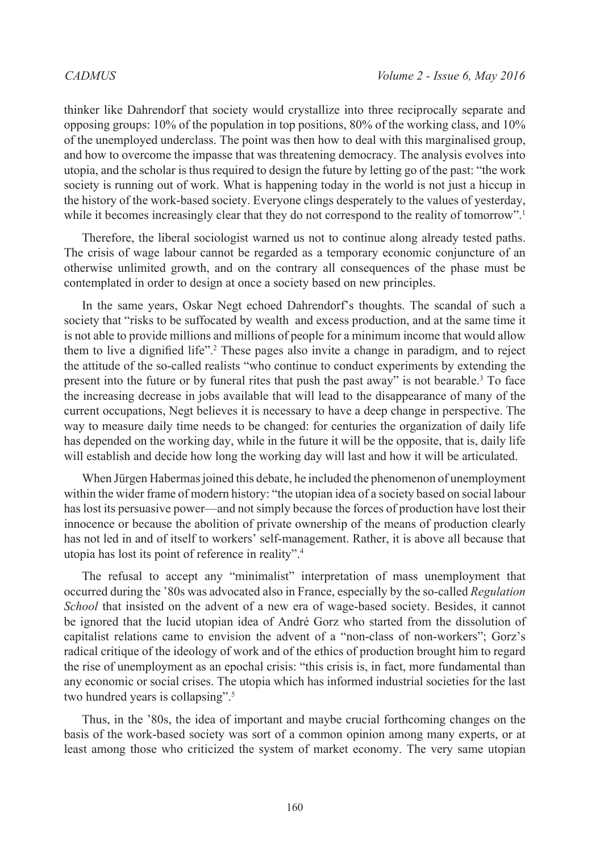thinker like Dahrendorf that society would crystallize into three reciprocally separate and opposing groups: 10% of the population in top positions, 80% of the working class, and 10% of the unemployed underclass. The point was then how to deal with this marginalised group, and how to overcome the impasse that was threatening democracy. The analysis evolves into utopia, and the scholar is thus required to design the future by letting go of the past: "the work society is running out of work. What is happening today in the world is not just a hiccup in the history of the work-based society. Everyone clings desperately to the values of yesterday, while it becomes increasingly clear that they do not correspond to the reality of tomorrow".<sup>[1](#page-9-0)</sup>

Therefore, the liberal sociologist warned us not to continue along already tested paths. The crisis of wage labour cannot be regarded as a temporary economic conjuncture of an otherwise unlimited growth, and on the contrary all consequences of the phase must be contemplated in order to design at once a society based on new principles.

In the same years, Oskar Negt echoed Dahrendorf's thoughts. The scandal of such a society that "risks to be suffocated by wealth and excess production, and at the same time it is not able to provide millions and millions of people for a minimum income that would allow them to live a dignified life".[2](#page-9-1) These pages also invite a change in paradigm, and to reject the attitude of the so-called realists "who continue to conduct experiments by extending the present into the future or by funeral rites that push the past away" is not bearable. $3$  To face the increasing decrease in jobs available that will lead to the disappearance of many of the current occupations, Negt believes it is necessary to have a deep change in perspective. The way to measure daily time needs to be changed: for centuries the organization of daily life has depended on the working day, while in the future it will be the opposite, that is, daily life will establish and decide how long the working day will last and how it will be articulated.

When Jürgen Habermas joined this debate, he included the phenomenon of unemployment within the wider frame of modern history: "the utopian idea of a society based on social labour has lost its persuasive power—and not simply because the forces of production have lost their innocence or because the abolition of private ownership of the means of production clearly has not led in and of itself to workers' self-management. Rather, it is above all because that utopia has lost its point of reference in reality".[4](#page-9-3)

The refusal to accept any "minimalist" interpretation of mass unemployment that occurred during the '80s was advocated also in France, especially by the so-called *Regulation School* that insisted on the advent of a new era of wage-based society. Besides, it cannot be ignored that the lucid utopian idea of André Gorz who started from the dissolution of capitalist relations came to envision the advent of a "non-class of non-workers"; Gorz's radical critique of the ideology of work and of the ethics of production brought him to regard the rise of unemployment as an epochal crisis: "this crisis is, in fact, more fundamental than any economic or social crises. The utopia which has informed industrial societies for the last two hundred years is collapsing".[5](#page-9-4)

Thus, in the '80s, the idea of important and maybe crucial forthcoming changes on the basis of the work-based society was sort of a common opinion among many experts, or at least among those who criticized the system of market economy. The very same utopian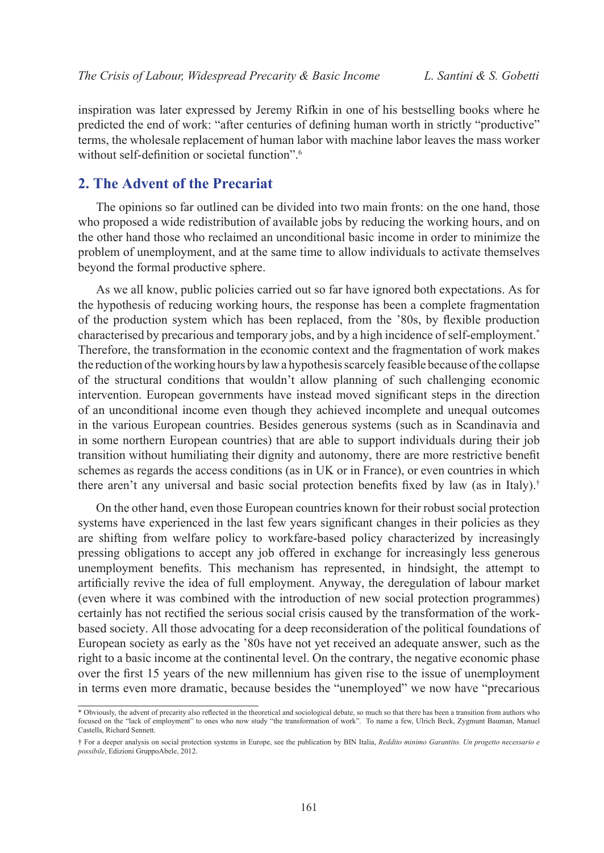inspiration was later expressed by Jeremy Rifkin in one of his bestselling books where he predicted the end of work: "after centuries of defining human worth in strictly "productive" terms, the wholesale replacement of human labor with machine labor leaves the mass worker without self-definition or societal function".<sup>[6](#page-9-5)</sup>

# **2. The Advent of the Precariat**

The opinions so far outlined can be divided into two main fronts: on the one hand, those who proposed a wide redistribution of available jobs by reducing the working hours, and on the other hand those who reclaimed an unconditional basic income in order to minimize the problem of unemployment, and at the same time to allow individuals to activate themselves beyond the formal productive sphere.

As we all know, public policies carried out so far have ignored both expectations. As for the hypothesis of reducing working hours, the response has been a complete fragmentation of the production system which has been replaced, from the '80s, by flexible production characterised by precarious and temporary jobs, and by a high incidence of self-employment.\* Therefore, the transformation in the economic context and the fragmentation of work makes the reduction of the working hours by law a hypothesis scarcely feasible because of the collapse of the structural conditions that wouldn't allow planning of such challenging economic intervention. European governments have instead moved significant steps in the direction of an unconditional income even though they achieved incomplete and unequal outcomes in the various European countries. Besides generous systems (such as in Scandinavia and in some northern European countries) that are able to support individuals during their job transition without humiliating their dignity and autonomy, there are more restrictive benefit schemes as regards the access conditions (as in UK or in France), or even countries in which there aren't any universal and basic social protection benefits fixed by law (as in Italy).†

On the other hand, even those European countries known for their robust social protection systems have experienced in the last few years significant changes in their policies as they are shifting from welfare policy to workfare-based policy characterized by increasingly pressing obligations to accept any job offered in exchange for increasingly less generous unemployment benefits. This mechanism has represented, in hindsight, the attempt to artificially revive the idea of full employment. Anyway, the deregulation of labour market (even where it was combined with the introduction of new social protection programmes) certainly has not rectified the serious social crisis caused by the transformation of the workbased society. All those advocating for a deep reconsideration of the political foundations of European society as early as the '80s have not yet received an adequate answer, such as the right to a basic income at the continental level. On the contrary, the negative economic phase over the first 15 years of the new millennium has given rise to the issue of unemployment in terms even more dramatic, because besides the "unemployed" we now have "precarious

<sup>\*</sup> Obviously, the advent of precarity also reflected in the theoretical and sociological debate, so much so that there has been a transition from authors who focused on the "lack of employment" to ones who now study "the transformation of work". To name a few, Ulrich Beck, Zygmunt Bauman, Manuel Castells, Richard Sennett.

<sup>†</sup> For a deeper analysis on social protection systems in Europe, see the publication by BIN Italia, *Reddito minimo Garantito. Un progetto necessario e possibile*, Edizioni GruppoAbele, 2012.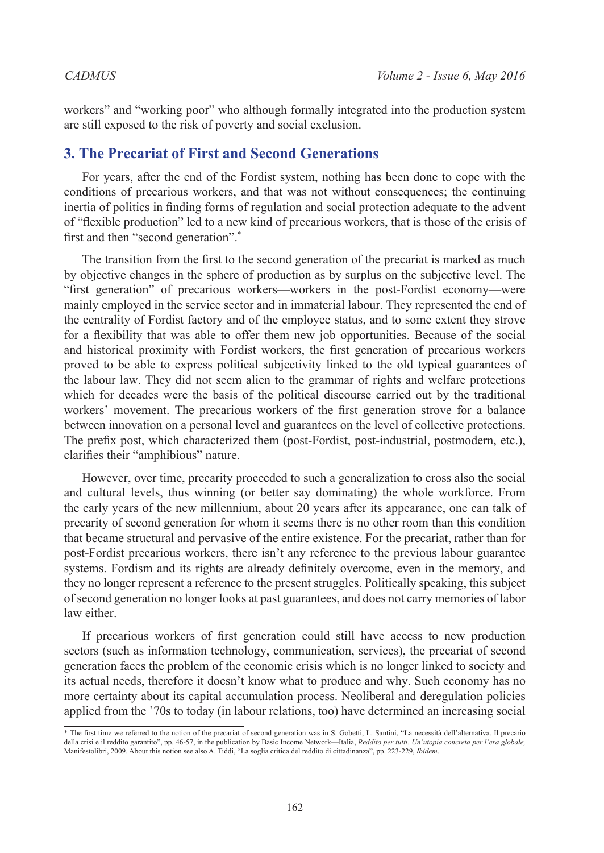workers" and "working poor" who although formally integrated into the production system are still exposed to the risk of poverty and social exclusion.

### **3. The Precariat of First and Second Generations**

For years, after the end of the Fordist system, nothing has been done to cope with the conditions of precarious workers, and that was not without consequences; the continuing inertia of politics in finding forms of regulation and social protection adequate to the advent of "flexible production" led to a new kind of precarious workers, that is those of the crisis of first and then "second generation".<sup>\*</sup>

The transition from the first to the second generation of the precariat is marked as much by objective changes in the sphere of production as by surplus on the subjective level. The "first generation" of precarious workers—workers in the post-Fordist economy—were mainly employed in the service sector and in immaterial labour. They represented the end of the centrality of Fordist factory and of the employee status, and to some extent they strove for a flexibility that was able to offer them new job opportunities. Because of the social and historical proximity with Fordist workers, the first generation of precarious workers proved to be able to express political subjectivity linked to the old typical guarantees of the labour law. They did not seem alien to the grammar of rights and welfare protections which for decades were the basis of the political discourse carried out by the traditional workers' movement. The precarious workers of the first generation strove for a balance between innovation on a personal level and guarantees on the level of collective protections. The prefix post, which characterized them (post-Fordist, post-industrial, postmodern, etc.), clarifies their "amphibious" nature.

However, over time, precarity proceeded to such a generalization to cross also the social and cultural levels, thus winning (or better say dominating) the whole workforce. From the early years of the new millennium, about 20 years after its appearance, one can talk of precarity of second generation for whom it seems there is no other room than this condition that became structural and pervasive of the entire existence. For the precariat, rather than for post-Fordist precarious workers, there isn't any reference to the previous labour guarantee systems. Fordism and its rights are already definitely overcome, even in the memory, and they no longer represent a reference to the present struggles. Politically speaking, this subject of second generation no longer looks at past guarantees, and does not carry memories of labor law either.

If precarious workers of first generation could still have access to new production sectors (such as information technology, communication, services), the precariat of second generation faces the problem of the economic crisis which is no longer linked to society and its actual needs, therefore it doesn't know what to produce and why. Such economy has no more certainty about its capital accumulation process. Neoliberal and deregulation policies applied from the '70s to today (in labour relations, too) have determined an increasing social

<sup>\*</sup> The first time we referred to the notion of the precariat of second generation was in S. Gobetti, L. Santini, "La necessità dell'alternativa. Il precario della crisi e il reddito garantito", pp. 46-57, in the publication by Basic Income Network—Italia, *Reddito per tutti. Un'utopia concreta per l'era globale,* Manifestolibri, 2009. About this notion see also A. Tiddi, "La soglia critica del reddito di cittadinanza", pp. 223-229, *Ibidem*.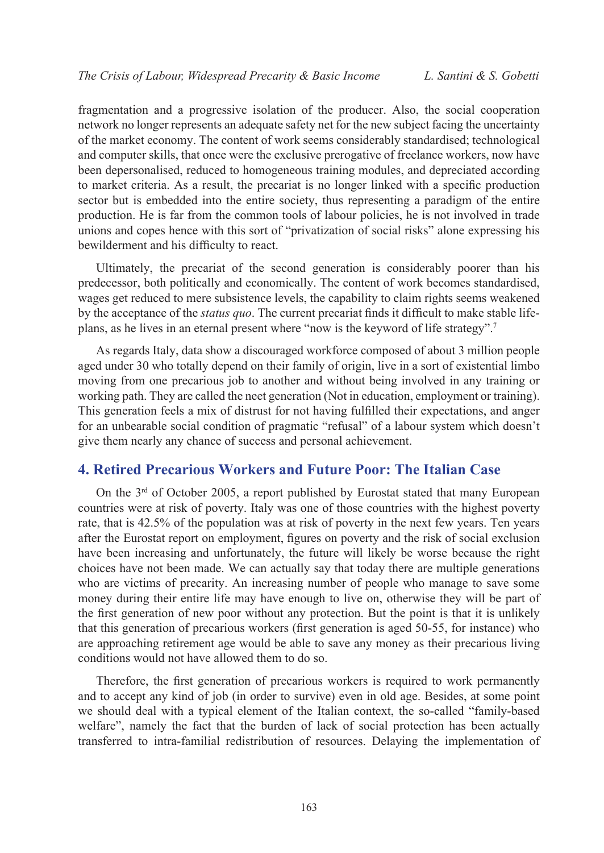fragmentation and a progressive isolation of the producer. Also, the social cooperation network no longer represents an adequate safety net for the new subject facing the uncertainty of the market economy. The content of work seems considerably standardised; technological and computer skills, that once were the exclusive prerogative of freelance workers, now have been depersonalised, reduced to homogeneous training modules, and depreciated according to market criteria. As a result, the precariat is no longer linked with a specific production sector but is embedded into the entire society, thus representing a paradigm of the entire production. He is far from the common tools of labour policies, he is not involved in trade unions and copes hence with this sort of "privatization of social risks" alone expressing his bewilderment and his difficulty to react.

Ultimately, the precariat of the second generation is considerably poorer than his predecessor, both politically and economically. The content of work becomes standardised, wages get reduced to mere subsistence levels, the capability to claim rights seems weakened by the acceptance of the *status quo*. The current precariat finds it difficult to make stable lifeplans, as he lives in an eternal present where "now is the keyword of life strategy".[7](#page-9-6)

As regards Italy, data show a discouraged workforce composed of about 3 million people aged under 30 who totally depend on their family of origin, live in a sort of existential limbo moving from one precarious job to another and without being involved in any training or working path. They are called the neet generation (Not in education, employment or training). This generation feels a mix of distrust for not having fulfilled their expectations, and anger for an unbearable social condition of pragmatic "refusal" of a labour system which doesn't give them nearly any chance of success and personal achievement.

### **4. Retired Precarious Workers and Future Poor: The Italian Case**

On the 3rd of October 2005, a report published by Eurostat stated that many European countries were at risk of poverty. Italy was one of those countries with the highest poverty rate, that is 42.5% of the population was at risk of poverty in the next few years. Ten years after the Eurostat report on employment, figures on poverty and the risk of social exclusion have been increasing and unfortunately, the future will likely be worse because the right choices have not been made. We can actually say that today there are multiple generations who are victims of precarity. An increasing number of people who manage to save some money during their entire life may have enough to live on, otherwise they will be part of the first generation of new poor without any protection. But the point is that it is unlikely that this generation of precarious workers (first generation is aged 50-55, for instance) who are approaching retirement age would be able to save any money as their precarious living conditions would not have allowed them to do so.

Therefore, the first generation of precarious workers is required to work permanently and to accept any kind of job (in order to survive) even in old age. Besides, at some point we should deal with a typical element of the Italian context, the so-called "family-based welfare", namely the fact that the burden of lack of social protection has been actually transferred to intra-familial redistribution of resources. Delaying the implementation of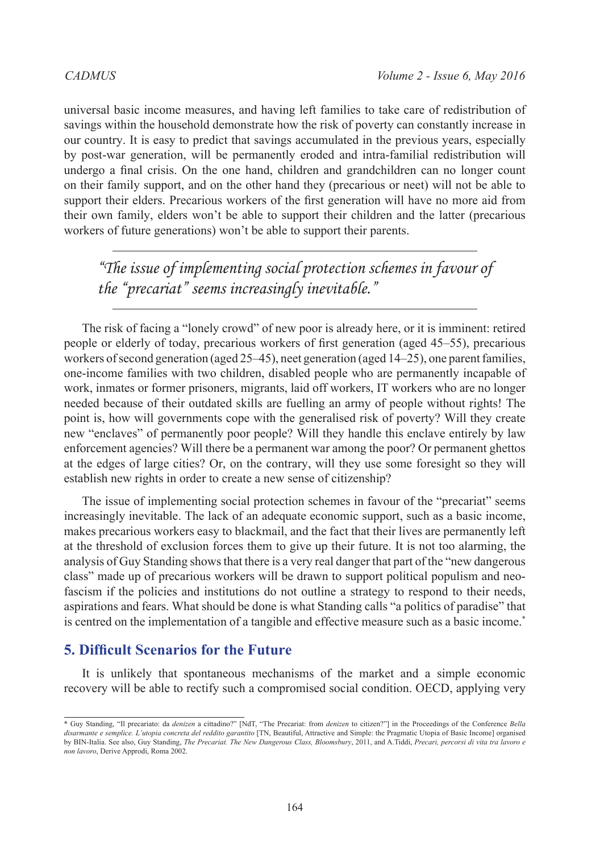universal basic income measures, and having left families to take care of redistribution of savings within the household demonstrate how the risk of poverty can constantly increase in our country. It is easy to predict that savings accumulated in the previous years, especially by post-war generation, will be permanently eroded and intra-familial redistribution will undergo a final crisis. On the one hand, children and grandchildren can no longer count on their family support, and on the other hand they (precarious or neet) will not be able to support their elders. Precarious workers of the first generation will have no more aid from their own family, elders won't be able to support their children and the latter (precarious workers of future generations) won't be able to support their parents.

*"The issue of implementing social protection schemes in favour of the "precariat" seems increasingly inevitable."*

The risk of facing a "lonely crowd" of new poor is already here, or it is imminent: retired people or elderly of today, precarious workers of first generation (aged 45–55), precarious workers of second generation (aged 25–45), neet generation (aged 14–25), one parent families, one-income families with two children, disabled people who are permanently incapable of work, inmates or former prisoners, migrants, laid off workers, IT workers who are no longer needed because of their outdated skills are fuelling an army of people without rights! The point is, how will governments cope with the generalised risk of poverty? Will they create new "enclaves" of permanently poor people? Will they handle this enclave entirely by law enforcement agencies? Will there be a permanent war among the poor? Or permanent ghettos at the edges of large cities? Or, on the contrary, will they use some foresight so they will establish new rights in order to create a new sense of citizenship?

The issue of implementing social protection schemes in favour of the "precariat" seems increasingly inevitable. The lack of an adequate economic support, such as a basic income, makes precarious workers easy to blackmail, and the fact that their lives are permanently left at the threshold of exclusion forces them to give up their future. It is not too alarming, the analysis of Guy Standing shows that there is a very real danger that part of the "new dangerous class" made up of precarious workers will be drawn to support political populism and neofascism if the policies and institutions do not outline a strategy to respond to their needs, aspirations and fears. What should be done is what Standing calls "a politics of paradise" that is centred on the implementation of a tangible and effective measure such as a basic income.\*

# **5. Difficult Scenarios for the Future**

It is unlikely that spontaneous mechanisms of the market and a simple economic recovery will be able to rectify such a compromised social condition. OECD, applying very

<sup>\*</sup> Guy Standing, "Il precariato: da *denizen* a cittadino?" [NdT, "The Precariat: from *denizen* to citizen?"] in the Proceedings of the Conference *Bella disarmante e semplice. L'utopia concreta del reddito garantito* [TN, Beautiful, Attractive and Simple: the Pragmatic Utopia of Basic Income] organised by BIN-Italia. See also, Guy Standing, *The Precariat. The New Dangerous Class, Bloomsbury*, 2011, and A.Tiddi, *Precari, percorsi di vita tra lavoro e non lavoro*, Derive Approdi, Roma 2002.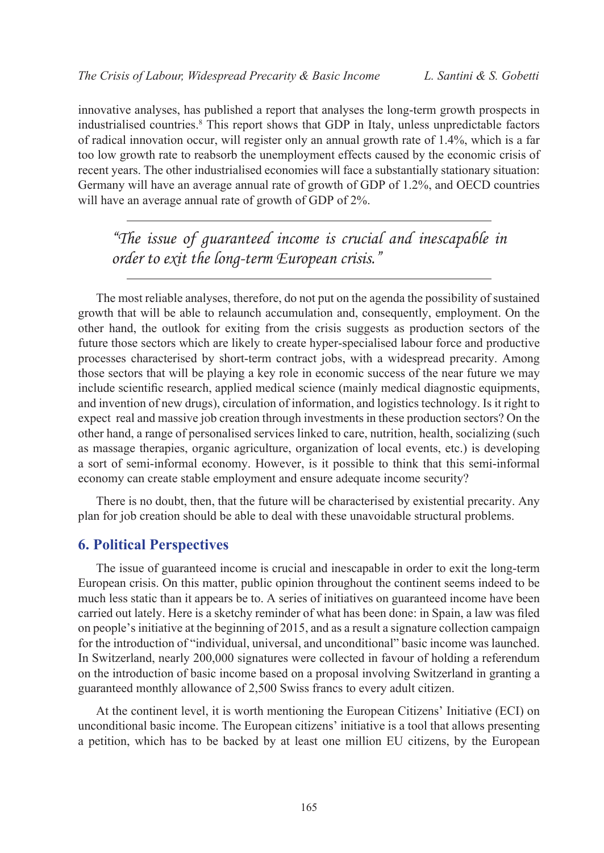innovative analyses, has published a report that analyses the long-term growth prospects in industrialised countries.<sup>[8](#page-9-7)</sup> This report shows that GDP in Italy, unless unpredictable factors of radical innovation occur, will register only an annual growth rate of 1.4%, which is a far too low growth rate to reabsorb the unemployment effects caused by the economic crisis of recent years. The other industrialised economies will face a substantially stationary situation: Germany will have an average annual rate of growth of GDP of 1.2%, and OECD countries will have an average annual rate of growth of GDP of 2%.

*"The issue of guaranteed income is crucial and inescapable in order to exit the long-term European crisis."*

The most reliable analyses, therefore, do not put on the agenda the possibility of sustained growth that will be able to relaunch accumulation and, consequently, employment. On the other hand, the outlook for exiting from the crisis suggests as production sectors of the future those sectors which are likely to create hyper-specialised labour force and productive processes characterised by short-term contract jobs, with a widespread precarity. Among those sectors that will be playing a key role in economic success of the near future we may include scientific research, applied medical science (mainly medical diagnostic equipments, and invention of new drugs), circulation of information, and logistics technology. Is it right to expect real and massive job creation through investments in these production sectors? On the other hand, a range of personalised services linked to care, nutrition, health, socializing (such as massage therapies, organic agriculture, organization of local events, etc.) is developing a sort of semi-informal economy. However, is it possible to think that this semi-informal economy can create stable employment and ensure adequate income security?

There is no doubt, then, that the future will be characterised by existential precarity. Any plan for job creation should be able to deal with these unavoidable structural problems.

# **6. Political Perspectives**

The issue of guaranteed income is crucial and inescapable in order to exit the long-term European crisis. On this matter, public opinion throughout the continent seems indeed to be much less static than it appears be to. A series of initiatives on guaranteed income have been carried out lately. Here is a sketchy reminder of what has been done: in Spain, a law was filed on people's initiative at the beginning of 2015, and as a result a signature collection campaign for the introduction of "individual, universal, and unconditional" basic income was launched. In Switzerland, nearly 200,000 signatures were collected in favour of holding a referendum on the introduction of basic income based on a proposal involving Switzerland in granting a guaranteed monthly allowance of 2,500 Swiss francs to every adult citizen.

At the continent level, it is worth mentioning the European Citizens' Initiative (ECI) on unconditional basic income. The European citizens' initiative is a tool that allows presenting a petition, which has to be backed by at least one million EU citizens, by the European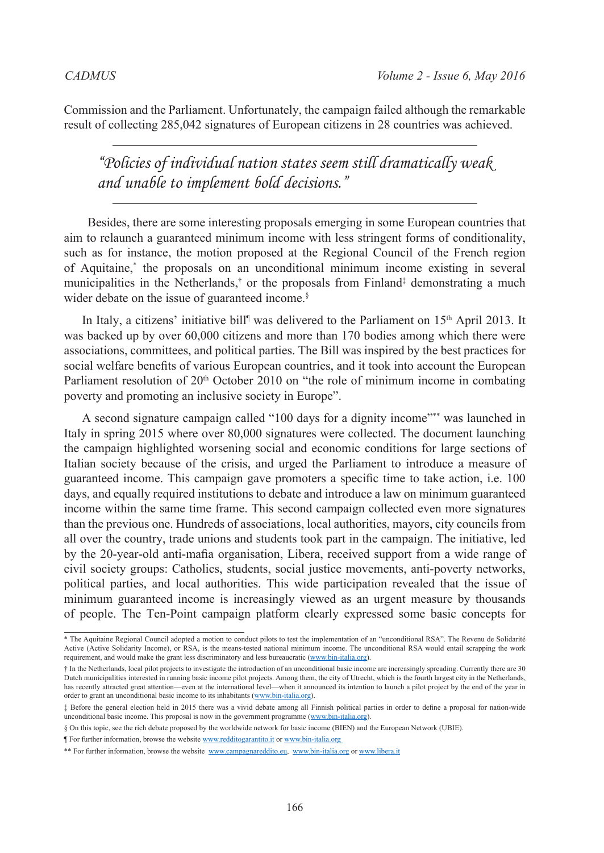Commission and the Parliament. Unfortunately, the campaign failed although the remarkable result of collecting 285,042 signatures of European citizens in 28 countries was achieved.

*"Policies of individual nation states seem still dramatically weak and unable to implement bold decisions."*

 Besides, there are some interesting proposals emerging in some European countries that aim to relaunch a guaranteed minimum income with less stringent forms of conditionality, such as for instance, the motion proposed at the Regional Council of the French region of Aquitaine,\* the proposals on an unconditional minimum income existing in several municipalities in the Netherlands,<sup>†</sup> or the proposals from Finland<sup>‡</sup> demonstrating a much wider debate on the issue of guaranteed income.<sup>§</sup>

In Italy, a citizens' initiative bill<sup>¶</sup> was delivered to the Parliament on 15<sup>th</sup> April 2013. It was backed up by over 60,000 citizens and more than 170 bodies among which there were associations, committees, and political parties. The Bill was inspired by the best practices for social welfare benefits of various European countries, and it took into account the European Parliament resolution of 20<sup>th</sup> October 2010 on "the role of minimum income in combating poverty and promoting an inclusive society in Europe".

A second signature campaign called "100 days for a dignity income"\*\* was launched in Italy in spring 2015 where over 80,000 signatures were collected. The document launching the campaign highlighted worsening social and economic conditions for large sections of Italian society because of the crisis, and urged the Parliament to introduce a measure of guaranteed income. This campaign gave promoters a specific time to take action, i.e. 100 days, and equally required institutions to debate and introduce a law on minimum guaranteed income within the same time frame. This second campaign collected even more signatures than the previous one. Hundreds of associations, local authorities, mayors, city councils from all over the country, trade unions and students took part in the campaign. The initiative, led by the 20-year-old anti-mafia organisation, Libera, received support from a wide range of civil society groups: Catholics, students, social justice movements, anti-poverty networks, political parties, and local authorities. This wide participation revealed that the issue of minimum guaranteed income is increasingly viewed as an urgent measure by thousands of people. The Ten-Point campaign platform clearly expressed some basic concepts for

<sup>\*</sup> The Aquitaine Regional Council adopted a motion to conduct pilots to test the implementation of an "unconditional RSA". The Revenu de Solidarité Active (Active Solidarity Income), or RSA, is the means-tested national minimum income. The unconditional RSA would entail scrapping the work requirement, and would make the grant less discriminatory and less bureaucratic ([www.bin-italia.org\)](www.bin-italia.org).

<sup>†</sup> In the Netherlands, local pilot projects to investigate the introduction of an unconditional basic income are increasingly spreading. Currently there are 30 Dutch municipalities interested in running basic income pilot projects. Among them, the city of Utrecht, which is the fourth largest city in the Netherlands, has recently attracted great attention—even at the international level—when it announced its intention to launch a pilot project by the end of the year in order to grant an unconditional basic income to its inhabitants [\(www.bin-italia.org](www.bin-italia.org)).

<sup>‡</sup> Before the general election held in 2015 there was a vivid debate among all Finnish political parties in order to define a proposal for nation-wide nconditional basic income. This proposal is now in the government programme (<www.bin-italia.org>).

<sup>§</sup> On this topic, see the rich debate proposed by the worldwide network for basic income (BIEN) and the European Network (UBIE).

<sup>¶</sup> For further information, browse the website [www.redditogarantito.it](http://www.redditogarantito.it/) or [www.bin-italia.org](http://www.bin-italia.org/)

<sup>\*\*</sup> For further information, browse the website [www.campagnareddito.eu](http://www.campagnareddito.eu/), [www.bin-italia.org](http://www.bin-italia.org/) or [www.libera.it](http://www.libera.it/)